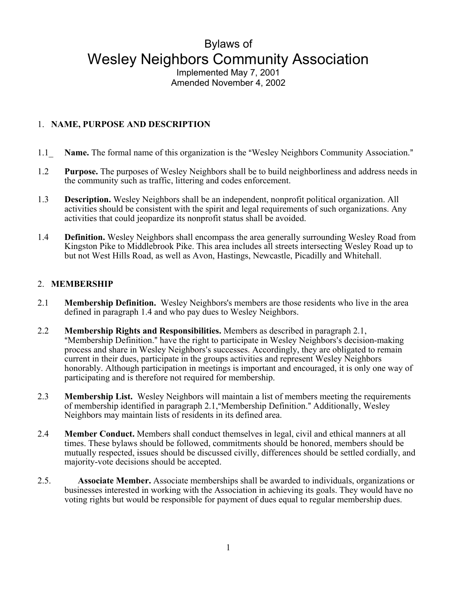# Bylaws of Wesley Neighbors Community Association

Implemented May 7, 2001 Amended November 4, 2002

## 1. **NAME, PURPOSE AND DESCRIPTION**

- 1.1 Name. The formal name of this organization is the "Wesley Neighbors Community Association."
- 1.2 **Purpose.** The purposes of Wesley Neighbors shall be to build neighborliness and address needs in the community such as traffic, littering and codes enforcement.
- 1.3 **Description.** Wesley Neighbors shall be an independent, nonprofit political organization. All activities should be consistent with the spirit and legal requirements of such organizations. Any activities that could jeopardize its nonprofit status shall be avoided.
- 1.4 **Definition.** Wesley Neighbors shall encompass the area generally surrounding Wesley Road from Kingston Pike to Middlebrook Pike. This area includes all streets intersecting Wesley Road up to but not West Hills Road, as well as Avon, Hastings, Newcastle, Picadilly and Whitehall.

### 2. **MEMBERSHIP**

- 2.1 **Membership Definition.** Wesley Neighbors's members are those residents who live in the area defined in paragraph 1.4 and who pay dues to Wesley Neighbors.
- 2.2 **Membership Rights and Responsibilities.** Members as described in paragraph 2.1, "Membership Definition." have the right to participate in Wesley Neighbors's decision-making process and share in Wesley Neighbors's successes. Accordingly, they are obligated to remain current in their dues, participate in the groups activities and represent Wesley Neighbors honorably. Although participation in meetings is important and encouraged, it is only one way of participating and is therefore not required for membership.
- 2.3 **Membership List.** Wesley Neighbors will maintain a list of members meeting the requirements of membership identified in paragraph 2.1, "Membership Definition." Additionally, Wesley Neighbors may maintain lists of residents in its defined area.
- 2.4 **Member Conduct.** Members shall conduct themselves in legal, civil and ethical manners at all times. These bylaws should be followed, commitments should be honored, members should be mutually respected, issues should be discussed civilly, differences should be settled cordially, and majority-vote decisions should be accepted.
- 2.5. **Associate Member.** Associate memberships shall be awarded to individuals, organizations or businesses interested in working with the Association in achieving its goals. They would have no voting rights but would be responsible for payment of dues equal to regular membership dues.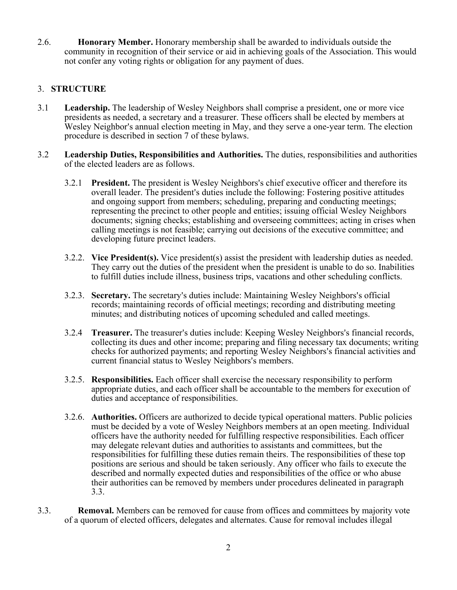2.6. **Honorary Member.** Honorary membership shall be awarded to individuals outside the community in recognition of their service or aid in achieving goals of the Association. This would not confer any voting rights or obligation for any payment of dues.

## 3. **STRUCTURE**

- 3.1 **Leadership.** The leadership of Wesley Neighbors shall comprise a president, one or more vice presidents as needed, a secretary and a treasurer. These officers shall be elected by members at Wesley Neighbor's annual election meeting in May, and they serve a one-year term. The election procedure is described in section 7 of these bylaws.
- 3.2 **Leadership Duties, Responsibilities and Authorities.** The duties, responsibilities and authorities of the elected leaders are as follows.
	- 3.2.1 **President.** The president is Wesley Neighbors's chief executive officer and therefore its overall leader. The president's duties include the following: Fostering positive attitudes and ongoing support from members; scheduling, preparing and conducting meetings; representing the precinct to other people and entities; issuing official Wesley Neighbors documents; signing checks; establishing and overseeing committees; acting in crises when calling meetings is not feasible; carrying out decisions of the executive committee; and developing future precinct leaders.
	- 3.2.2. **Vice President(s).** Vice president(s) assist the president with leadership duties as needed. They carry out the duties of the president when the president is unable to do so. Inabilities to fulfill duties include illness, business trips, vacations and other scheduling conflicts.
	- 3.2.3. **Secretary.** The secretary's duties include: Maintaining Wesley Neighbors's official records; maintaining records of official meetings; recording and distributing meeting minutes; and distributing notices of upcoming scheduled and called meetings.
	- 3.2.4 **Treasurer.** The treasurer's duties include: Keeping Wesley Neighbors's financial records, collecting its dues and other income; preparing and filing necessary tax documents; writing checks for authorized payments; and reporting Wesley Neighbors's financial activities and current financial status to Wesley Neighbors's members.
	- 3.2.5. **Responsibilities.** Each officer shall exercise the necessary responsibility to perform appropriate duties, and each officer shall be accountable to the members for execution of duties and acceptance of responsibilities.
	- 3.2.6. **Authorities.** Officers are authorized to decide typical operational matters. Public policies must be decided by a vote of Wesley Neighbors members at an open meeting. Individual officers have the authority needed for fulfilling respective responsibilities. Each officer may delegate relevant duties and authorities to assistants and committees, but the responsibilities for fulfilling these duties remain theirs. The responsibilities of these top positions are serious and should be taken seriously. Any officer who fails to execute the described and normally expected duties and responsibilities of the office or who abuse their authorities can be removed by members under procedures delineated in paragraph 3.3.
- 3.3. **Removal.** Members can be removed for cause from offices and committees by majority vote of a quorum of elected officers, delegates and alternates. Cause for removal includes illegal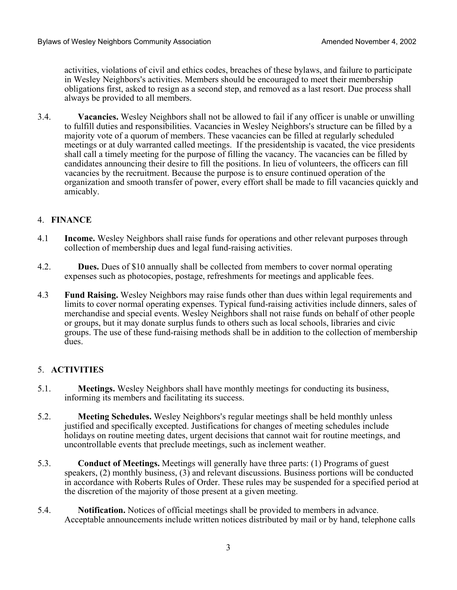activities, violations of civil and ethics codes, breaches of these bylaws, and failure to participate in Wesley Neighbors's activities. Members should be encouraged to meet their membership obligations first, asked to resign as a second step, and removed as a last resort. Due process shall always be provided to all members.

3.4. **Vacancies.** Wesley Neighbors shall not be allowed to fail if any officer is unable or unwilling to fulfill duties and responsibilities. Vacancies in Wesley Neighbors's structure can be filled by a majority vote of a quorum of members. These vacancies can be filled at regularly scheduled meetings or at duly warranted called meetings. If the presidentship is vacated, the vice presidents shall call a timely meeting for the purpose of filling the vacancy. The vacancies can be filled by candidates announcing their desire to fill the positions. In lieu of volunteers, the officers can fill vacancies by the recruitment. Because the purpose is to ensure continued operation of the organization and smooth transfer of power, every effort shall be made to fill vacancies quickly and amicably.

#### 4. **FINANCE**

- 4.1 **Income.** Wesley Neighbors shall raise funds for operations and other relevant purposes through collection of membership dues and legal fund-raising activities.
- 4.2. **Dues.** Dues of \$10 annually shall be collected from members to cover normal operating expenses such as photocopies, postage, refreshments for meetings and applicable fees.
- 4.3 **Fund Raising.** Wesley Neighbors may raise funds other than dues within legal requirements and limits to cover normal operating expenses. Typical fund-raising activities include dinners, sales of merchandise and special events. Wesley Neighbors shall not raise funds on behalf of other people or groups, but it may donate surplus funds to others such as local schools, libraries and civic groups. The use of these fund-raising methods shall be in addition to the collection of membership dues.

### 5. **ACTIVITIES**

- 5.1. **Meetings.** Wesley Neighbors shall have monthly meetings for conducting its business, informing its members and facilitating its success.
- 5.2. **Meeting Schedules.** Wesley Neighbors's regular meetings shall be held monthly unless justified and specifically excepted. Justifications for changes of meeting schedules include holidays on routine meeting dates, urgent decisions that cannot wait for routine meetings, and uncontrollable events that preclude meetings, such as inclement weather.
- 5.3. **Conduct of Meetings.** Meetings will generally have three parts: (1) Programs of guest speakers, (2) monthly business, (3) and relevant discussions. Business portions will be conducted in accordance with Roberts Rules of Order. These rules may be suspended for a specified period at the discretion of the majority of those present at a given meeting.
- 5.4. **Notification.** Notices of official meetings shall be provided to members in advance. Acceptable announcements include written notices distributed by mail or by hand, telephone calls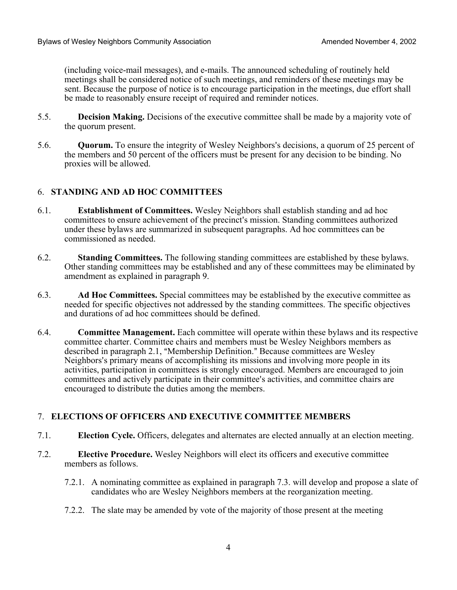(including voice-mail messages), and e-mails. The announced scheduling of routinely held meetings shall be considered notice of such meetings, and reminders of these meetings may be sent. Because the purpose of notice is to encourage participation in the meetings, due effort shall be made to reasonably ensure receipt of required and reminder notices.

- 5.5. **Decision Making.** Decisions of the executive committee shall be made by a majority vote of the quorum present.
- 5.6. **Quorum.** To ensure the integrity of Wesley Neighbors's decisions, a quorum of 25 percent of the members and 50 percent of the officers must be present for any decision to be binding. No proxies will be allowed.

### 6. **STANDING AND AD HOC COMMITTEES**

- 6.1. **Establishment of Committees.** Wesley Neighbors shall establish standing and ad hoc committees to ensure achievement of the precinct's mission. Standing committees authorized under these bylaws are summarized in subsequent paragraphs. Ad hoc committees can be commissioned as needed.
- 6.2. **Standing Committees.** The following standing committees are established by these bylaws. Other standing committees may be established and any of these committees may be eliminated by amendment as explained in paragraph 9.
- 6.3. **Ad Hoc Committees.** Special committees may be established by the executive committee as needed for specific objectives not addressed by the standing committees. The specific objectives and durations of ad hoc committees should be defined.
- 6.4. **Committee Management.** Each committee will operate within these bylaws and its respective committee charter. Committee chairs and members must be Wesley Neighbors members as described in paragraph 2.1, "Membership Definition." Because committees are Wesley Neighbors's primary means of accomplishing its missions and involving more people in its activities, participation in committees is strongly encouraged. Members are encouraged to join committees and actively participate in their committee's activities, and committee chairs are encouraged to distribute the duties among the members.

### 7. **ELECTIONS OF OFFICERS AND EXECUTIVE COMMITTEE MEMBERS**

- 7.1. **Election Cycle.** Officers, delegates and alternates are elected annually at an election meeting.
- 7.2. **Elective Procedure.** Wesley Neighbors will elect its officers and executive committee members as follows.
	- 7.2.1. A nominating committee as explained in paragraph 7.3. will develop and propose a slate of candidates who are Wesley Neighbors members at the reorganization meeting.
	- 7.2.2. The slate may be amended by vote of the majority of those present at the meeting